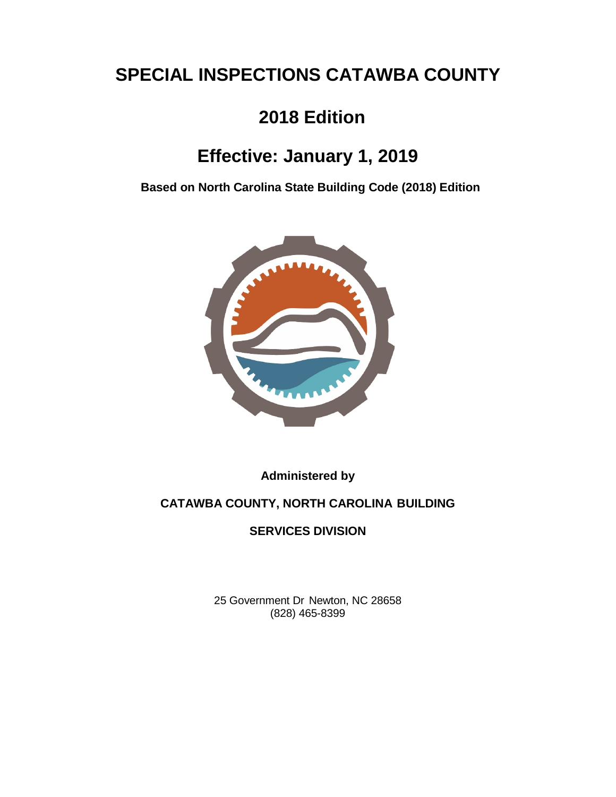# **SPECIAL INSPECTIONS CATAWBA COUNTY**

## **2018 Edition**

## **Effective: January 1, 2019**

**Based on North Carolina State Building Code (2018) Edition**



**Administered by**

## **CATAWBA COUNTY, NORTH CAROLINA BUILDING**

### **SERVICES DIVISION**

25 Government Dr Newton, NC 28658 (828) 465-8399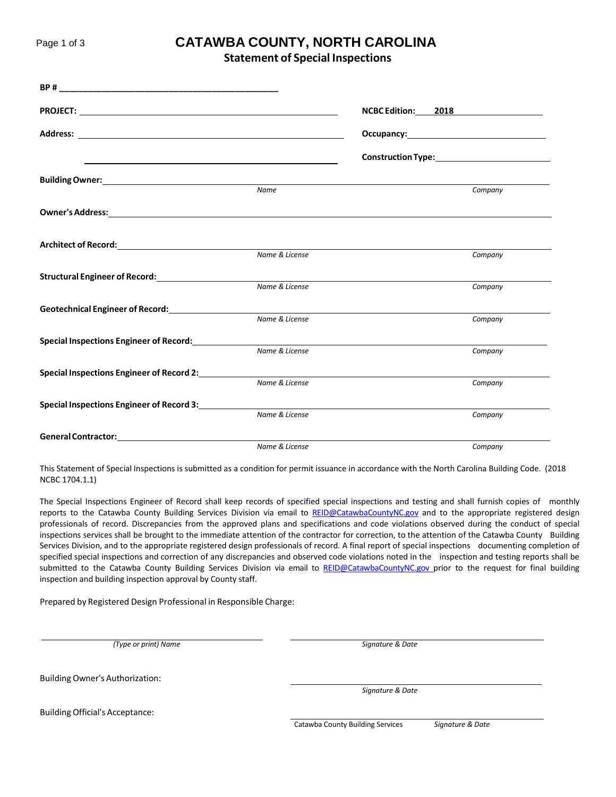### Page <sup>1</sup> of <sup>3</sup> **CATAWBA COUNTY, NORTH CAROLINA**

**Statement of Special Inspections**

|                                                                                                                                                                                                                                          |                | NCBC Edition: 2018 |  |
|------------------------------------------------------------------------------------------------------------------------------------------------------------------------------------------------------------------------------------------|----------------|--------------------|--|
|                                                                                                                                                                                                                                          |                |                    |  |
| and the control of the control of the control of the control of the control of the control of the control of the                                                                                                                         |                |                    |  |
| <b>Building Owner:</b> <u>Communications</u> and Communications and Communications and Communications and Communications and Communications and Communications and Communications and Communications and Communications and Communicatio |                |                    |  |
|                                                                                                                                                                                                                                          | Name           | Company            |  |
| Owner's Address: University of the Community of the Community of the Community of the Community of the Community of the Community of the Community of the Community of the Community of the Community of the Community of the            |                |                    |  |
|                                                                                                                                                                                                                                          |                |                    |  |
|                                                                                                                                                                                                                                          | Name & License | Company            |  |
|                                                                                                                                                                                                                                          |                |                    |  |
|                                                                                                                                                                                                                                          | Name & License | Company            |  |
| Geotechnical Engineer of Record: <b>Example 2018</b>                                                                                                                                                                                     |                |                    |  |
|                                                                                                                                                                                                                                          | Name & License | Company            |  |
| <b>Special Inspections Engineer of Record:</b>                                                                                                                                                                                           |                |                    |  |
|                                                                                                                                                                                                                                          | Name & License | Company            |  |
| Special Inspections Engineer of Record 2:                                                                                                                                                                                                |                |                    |  |
|                                                                                                                                                                                                                                          | Name & License | Company            |  |
| Special Inspections Engineer of Record 3:                                                                                                                                                                                                |                |                    |  |
|                                                                                                                                                                                                                                          | Name & License | Company            |  |
| General Contractor: The Contractor Services of the Contractor Services of the Contractor Services of the Contractor Services of the Contractor Services of the Contractor Services of the Contractor Services of the Contracto           |                |                    |  |
|                                                                                                                                                                                                                                          | Name & License | Company            |  |

This Statement of Special Inspections is submitted as a condition for permit issuance in accordance with the North Carolina Building Code. (2018 NCBC 1704.1.1)

The Special Inspections Engineer of Record shall keep records of specified special inspections and testing and shall furnish copies of monthly reports to the Catawba County Building Services Division via email to [REID@CatawbaCountyNC.gov](mailto:REID@CatawbaCountyNC.gov) and to the appropriate registered design professionals of record. Discrepancies from the approved plans and specifications and code violations observed during the conduct of special inspections services shall be brought to the immediate attention of the contractor for correction, to the attention of the Catawba County Building Services Division, and to the appropriate registered design professionals of record. A final report of special inspections documenting completion of specified special inspections and correction of any discrepancies and observed code violations noted in the inspection and testing reports shall be submitted to the Catawba County Building Services Division via email to [REID@CatawbaCountyNC.gov](mailto:REID@CatawbaCountyNC.gov) prior to the request for final building inspection and building inspection approval by County staff.

Prepared by Registered Design Professional in Responsible Charge:

*(Type or print) Name Signature & Date*

BuildingOwner's Authorization:

*Signature & Date*

BuildingOfficial's Acceptance:

Catawba County Building Services *Signature & Date*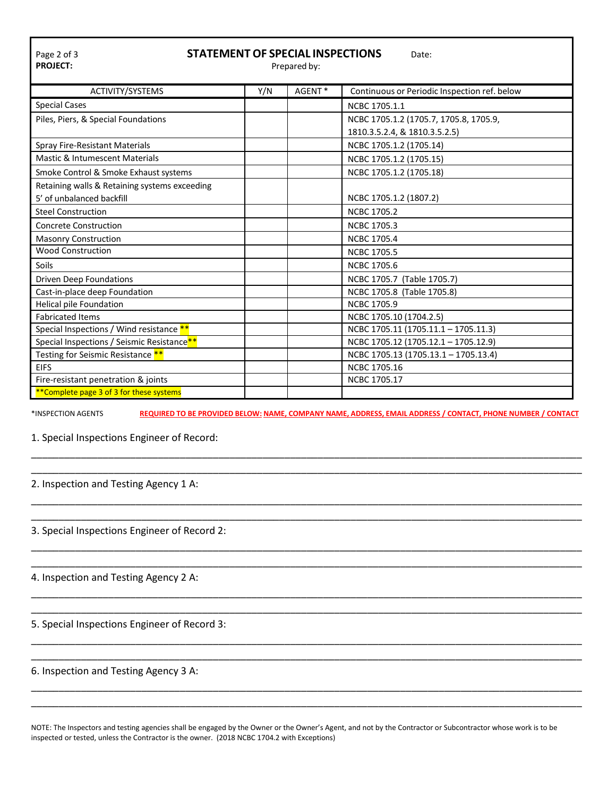| <b>STATEMENT OF SPECIAL INSPECTIONS</b><br>Page 2 of 3<br>Date:<br><b>PROJECT:</b><br>Prepared by: |     |        |                                              |
|----------------------------------------------------------------------------------------------------|-----|--------|----------------------------------------------|
| ACTIVITY/SYSTEMS                                                                                   | Y/N | AGENT* | Continuous or Periodic Inspection ref. below |
| <b>Special Cases</b>                                                                               |     |        | NCBC 1705.1.1                                |
| Piles, Piers, & Special Foundations                                                                |     |        | NCBC 1705.1.2 (1705.7, 1705.8, 1705.9,       |
|                                                                                                    |     |        | 1810.3.5.2.4, & 1810.3.5.2.5)                |
| Spray Fire-Resistant Materials                                                                     |     |        | NCBC 1705.1.2 (1705.14)                      |
| Mastic & Intumescent Materials                                                                     |     |        | NCBC 1705.1.2 (1705.15)                      |
| Smoke Control & Smoke Exhaust systems                                                              |     |        | NCBC 1705.1.2 (1705.18)                      |
| Retaining walls & Retaining systems exceeding                                                      |     |        |                                              |
| 5' of unbalanced backfill                                                                          |     |        | NCBC 1705.1.2 (1807.2)                       |
| <b>Steel Construction</b>                                                                          |     |        | <b>NCBC 1705.2</b>                           |
| <b>Concrete Construction</b>                                                                       |     |        | <b>NCBC 1705.3</b>                           |
| <b>Masonry Construction</b>                                                                        |     |        | <b>NCBC 1705.4</b>                           |
| <b>Wood Construction</b>                                                                           |     |        | <b>NCBC 1705.5</b>                           |
| Soils                                                                                              |     |        | <b>NCBC 1705.6</b>                           |
| <b>Driven Deep Foundations</b>                                                                     |     |        | NCBC 1705.7 (Table 1705.7)                   |
| Cast-in-place deep Foundation                                                                      |     |        | NCBC 1705.8 (Table 1705.8)                   |
| <b>Helical pile Foundation</b>                                                                     |     |        | <b>NCBC 1705.9</b>                           |
| <b>Fabricated Items</b>                                                                            |     |        | NCBC 1705.10 (1704.2.5)                      |
| Special Inspections / Wind resistance **                                                           |     |        | NCBC 1705.11 (1705.11.1 - 1705.11.3)         |
| Special Inspections / Seismic Resistance**                                                         |     |        | NCBC 1705.12 (1705.12.1 - 1705.12.9)         |
| Testing for Seismic Resistance <sup>**</sup>                                                       |     |        | NCBC 1705.13 (1705.13.1 - 1705.13.4)         |
| <b>EIFS</b>                                                                                        |     |        | NCBC 1705.16                                 |
| Fire-resistant penetration & joints                                                                |     |        | NCBC 1705.17                                 |
| **Complete page 3 of 3 for these systems                                                           |     |        |                                              |

\_\_\_\_\_\_\_\_\_\_\_\_\_\_\_\_\_\_\_\_\_\_\_\_\_\_\_\_\_\_\_\_\_\_\_\_\_\_\_\_\_\_\_\_\_\_\_\_\_\_\_\_\_\_\_\_\_\_\_\_\_\_\_\_\_\_\_\_\_\_\_\_\_\_\_\_\_\_\_\_\_\_\_\_\_\_\_\_\_\_\_\_\_\_\_\_\_\_\_\_ \_\_\_\_\_\_\_\_\_\_\_\_\_\_\_\_\_\_\_\_\_\_\_\_\_\_\_\_\_\_\_\_\_\_\_\_\_\_\_\_\_\_\_\_\_\_\_\_\_\_\_\_\_\_\_\_\_\_\_\_\_\_\_\_\_\_\_\_\_\_\_\_\_\_\_\_\_\_\_\_\_\_\_\_\_\_\_\_\_\_\_\_\_\_\_\_\_\_\_\_

\_\_\_\_\_\_\_\_\_\_\_\_\_\_\_\_\_\_\_\_\_\_\_\_\_\_\_\_\_\_\_\_\_\_\_\_\_\_\_\_\_\_\_\_\_\_\_\_\_\_\_\_\_\_\_\_\_\_\_\_\_\_\_\_\_\_\_\_\_\_\_\_\_\_\_\_\_\_\_\_\_\_\_\_\_\_\_\_\_\_\_\_\_\_\_\_\_\_\_\_ \_\_\_\_\_\_\_\_\_\_\_\_\_\_\_\_\_\_\_\_\_\_\_\_\_\_\_\_\_\_\_\_\_\_\_\_\_\_\_\_\_\_\_\_\_\_\_\_\_\_\_\_\_\_\_\_\_\_\_\_\_\_\_\_\_\_\_\_\_\_\_\_\_\_\_\_\_\_\_\_\_\_\_\_\_\_\_\_\_\_\_\_\_\_\_\_\_\_\_\_

\_\_\_\_\_\_\_\_\_\_\_\_\_\_\_\_\_\_\_\_\_\_\_\_\_\_\_\_\_\_\_\_\_\_\_\_\_\_\_\_\_\_\_\_\_\_\_\_\_\_\_\_\_\_\_\_\_\_\_\_\_\_\_\_\_\_\_\_\_\_\_\_\_\_\_\_\_\_\_\_\_\_\_\_\_\_\_\_\_\_\_\_\_\_\_\_\_\_\_\_ \_\_\_\_\_\_\_\_\_\_\_\_\_\_\_\_\_\_\_\_\_\_\_\_\_\_\_\_\_\_\_\_\_\_\_\_\_\_\_\_\_\_\_\_\_\_\_\_\_\_\_\_\_\_\_\_\_\_\_\_\_\_\_\_\_\_\_\_\_\_\_\_\_\_\_\_\_\_\_\_\_\_\_\_\_\_\_\_\_\_\_\_\_\_\_\_\_\_\_\_

\_\_\_\_\_\_\_\_\_\_\_\_\_\_\_\_\_\_\_\_\_\_\_\_\_\_\_\_\_\_\_\_\_\_\_\_\_\_\_\_\_\_\_\_\_\_\_\_\_\_\_\_\_\_\_\_\_\_\_\_\_\_\_\_\_\_\_\_\_\_\_\_\_\_\_\_\_\_\_\_\_\_\_\_\_\_\_\_\_\_\_\_\_\_\_\_\_\_\_\_ \_\_\_\_\_\_\_\_\_\_\_\_\_\_\_\_\_\_\_\_\_\_\_\_\_\_\_\_\_\_\_\_\_\_\_\_\_\_\_\_\_\_\_\_\_\_\_\_\_\_\_\_\_\_\_\_\_\_\_\_\_\_\_\_\_\_\_\_\_\_\_\_\_\_\_\_\_\_\_\_\_\_\_\_\_\_\_\_\_\_\_\_\_\_\_\_\_\_\_\_

\_\_\_\_\_\_\_\_\_\_\_\_\_\_\_\_\_\_\_\_\_\_\_\_\_\_\_\_\_\_\_\_\_\_\_\_\_\_\_\_\_\_\_\_\_\_\_\_\_\_\_\_\_\_\_\_\_\_\_\_\_\_\_\_\_\_\_\_\_\_\_\_\_\_\_\_\_\_\_\_\_\_\_\_\_\_\_\_\_\_\_\_\_\_\_\_\_\_\_\_ \_\_\_\_\_\_\_\_\_\_\_\_\_\_\_\_\_\_\_\_\_\_\_\_\_\_\_\_\_\_\_\_\_\_\_\_\_\_\_\_\_\_\_\_\_\_\_\_\_\_\_\_\_\_\_\_\_\_\_\_\_\_\_\_\_\_\_\_\_\_\_\_\_\_\_\_\_\_\_\_\_\_\_\_\_\_\_\_\_\_\_\_\_\_\_\_\_\_\_\_

\_\_\_\_\_\_\_\_\_\_\_\_\_\_\_\_\_\_\_\_\_\_\_\_\_\_\_\_\_\_\_\_\_\_\_\_\_\_\_\_\_\_\_\_\_\_\_\_\_\_\_\_\_\_\_\_\_\_\_\_\_\_\_\_\_\_\_\_\_\_\_\_\_\_\_\_\_\_\_\_\_\_\_\_\_\_\_\_\_\_\_\_\_\_\_\_\_\_\_\_ \_\_\_\_\_\_\_\_\_\_\_\_\_\_\_\_\_\_\_\_\_\_\_\_\_\_\_\_\_\_\_\_\_\_\_\_\_\_\_\_\_\_\_\_\_\_\_\_\_\_\_\_\_\_\_\_\_\_\_\_\_\_\_\_\_\_\_\_\_\_\_\_\_\_\_\_\_\_\_\_\_\_\_\_\_\_\_\_\_\_\_\_\_\_\_\_\_\_\_\_

\*INSPECTION AGENTS **REQUIRED TO BE PROVIDED BELOW: NAME, COMPANY NAME, ADDRESS, EMAIL ADDRESS / CONTACT, PHONE NUMBER / CONTACT**

1. Special Inspections Engineer of Record:

2. Inspection and Testing Agency 1 A:

3. Special Inspections Engineer of Record 2:

4. Inspection and Testing Agency 2 A:

5. Special Inspections Engineer of Record 3:

#### 6. Inspection and Testing Agency 3 A:

NOTE: The Inspectors and testing agencies shall be engaged by the Owner or the Owner's Agent, and not by the Contractor or Subcontractor whose work is to be inspected or tested, unless the Contractor is the owner. (2018 NCBC 1704.2 with Exceptions)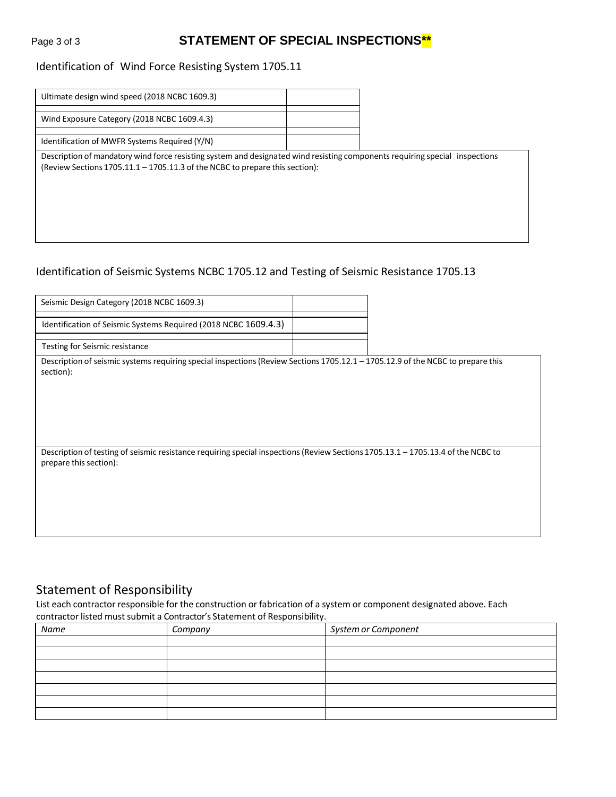## Page 3 of 3 **STATEMENT OF SPECIAL INSPECTIONS\*\***

#### Identification of Wind Force Resisting System 1705.11

| Ultimate design wind speed (2018 NCBC 1609.3) |  |
|-----------------------------------------------|--|
|                                               |  |
| Wind Exposure Category (2018 NCBC 1609.4.3)   |  |
|                                               |  |
| Identification of MWFR Systems Required (Y/N) |  |
|                                               |  |

Description of mandatory wind force resisting system and designated wind resisting components requiring special inspections (Review Sections 1705.11.1 – 1705.11.3 of the NCBC to prepare this section):

#### Identification of Seismic Systems NCBC 1705.12 and Testing of Seismic Resistance 1705.13

| Seismic Design Category (2018 NCBC 1609.3)                                                                                                                 |  |
|------------------------------------------------------------------------------------------------------------------------------------------------------------|--|
| Identification of Seismic Systems Required (2018 NCBC 1609.4.3)                                                                                            |  |
| Testing for Seismic resistance                                                                                                                             |  |
| Description of seismic systems requiring special inspections (Review Sections 1705.12.1 - 1705.12.9 of the NCBC to prepare this<br>section):               |  |
| Description of testing of seismic resistance requiring special inspections (Review Sections 1705.13.1 - 1705.13.4 of the NCBC to<br>prepare this section): |  |

### Statement of Responsibility

List each contractor responsible for the construction or fabrication of a system or component designated above. Each contractor listed must submit a Contractor's Statement of Responsibility.

| Name | Company | System or Component |
|------|---------|---------------------|
|      |         |                     |
|      |         |                     |
|      |         |                     |
|      |         |                     |
|      |         |                     |
|      |         |                     |
|      |         |                     |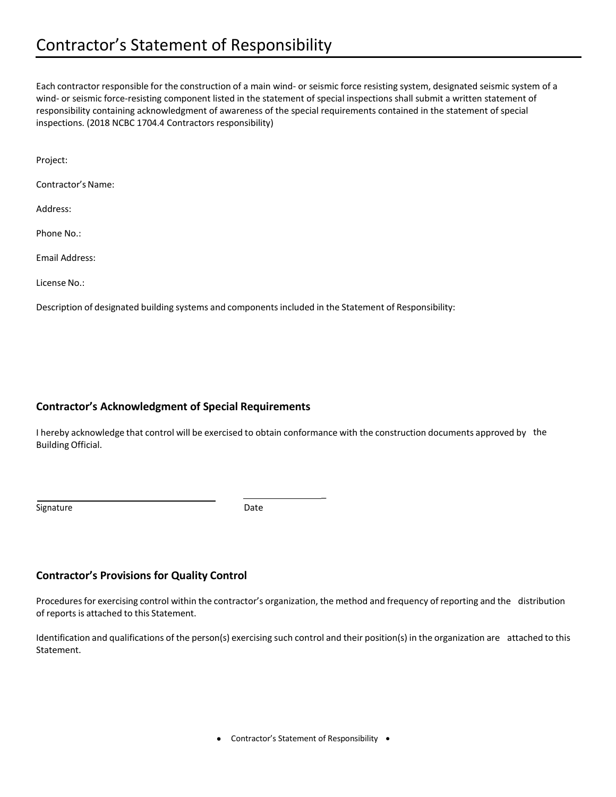## Contractor's Statement of Responsibility

Each contractor responsible for the construction of a main wind- or seismic force resisting system, designated seismic system of a wind- or seismic force-resisting component listed in the statement of special inspections shall submit a written statement of responsibility containing acknowledgment of awareness of the special requirements contained in the statement of special inspections. (2018 NCBC 1704.4 Contractors responsibility)

Project:

Contractor's Name:

Address:

Phone No.:

Email Address:

License No.:

Description of designated building systems and componentsincluded in the Statement of Responsibility:

#### **Contractor's Acknowledgment of Special Requirements**

I hereby acknowledge that control will be exercised to obtain conformance with the construction documents approved by the Building Official.

\_

Signature Date Date

#### **Contractor's Provisions for Quality Control**

Procedures for exercising control within the contractor's organization, the method and frequency of reporting and the distribution of reports is attached to this Statement.

Identification and qualifications of the person(s) exercising such control and their position(s) in the organization are attached to this Statement.

• Contractor's Statement of Responsibility •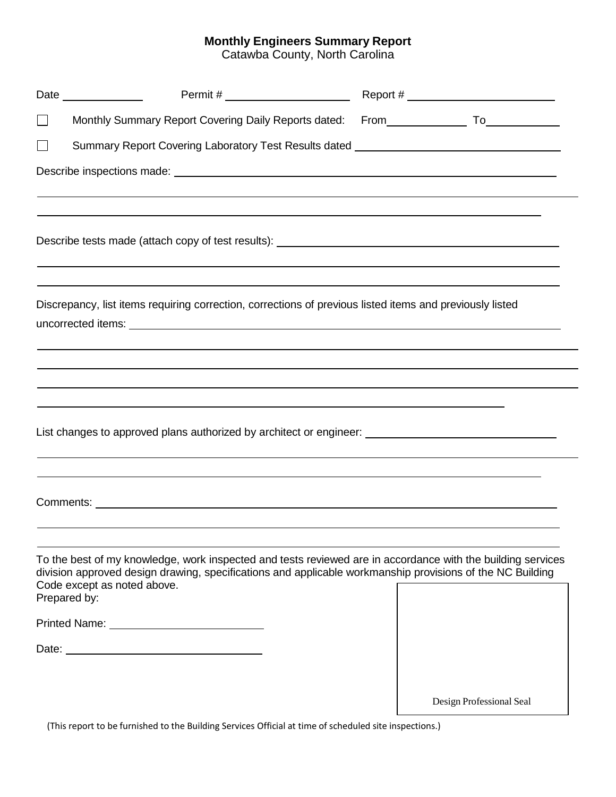#### **Monthly Engineers Summary Report**

Catawba County, North Carolina

| $\Box$ |                                                                                                                                                                                                                          |                          |
|--------|--------------------------------------------------------------------------------------------------------------------------------------------------------------------------------------------------------------------------|--------------------------|
| $\sim$ | Summary Report Covering Laboratory Test Results dated __________________________                                                                                                                                         |                          |
|        |                                                                                                                                                                                                                          |                          |
|        | ,我们也不会有什么。""我们的人,我们也不会有什么?""我们的人,我们也不会有什么?""我们的人,我们也不会有什么?""我们的人,我们也不会有什么?""我们的人                                                                                                                                         |                          |
|        | Discrepancy, list items requiring correction, corrections of previous listed items and previously listed                                                                                                                 |                          |
|        |                                                                                                                                                                                                                          |                          |
|        | ,我们也不会有什么。""我们的人,我们也不会有什么?""我们的人,我们也不会有什么?""我们的人,我们也不会有什么?""我们的人,我们也不会有什么?""我们的人                                                                                                                                         |                          |
|        | List changes to approved plans authorized by architect or engineer: ________________________________                                                                                                                     |                          |
|        |                                                                                                                                                                                                                          |                          |
|        | To the best of my knowledge, work inspected and tests reviewed are in accordance with the building services<br>division approved design drawing, specifications and applicable workmanship provisions of the NC Building |                          |
|        | Code except as noted above.<br>Prepared by:                                                                                                                                                                              |                          |
|        | Printed Name: University of Printed Name:                                                                                                                                                                                |                          |
|        |                                                                                                                                                                                                                          |                          |
|        |                                                                                                                                                                                                                          | Design Professional Seal |

(This report to be furnished to the Building Services Official at time of scheduled site inspections.)